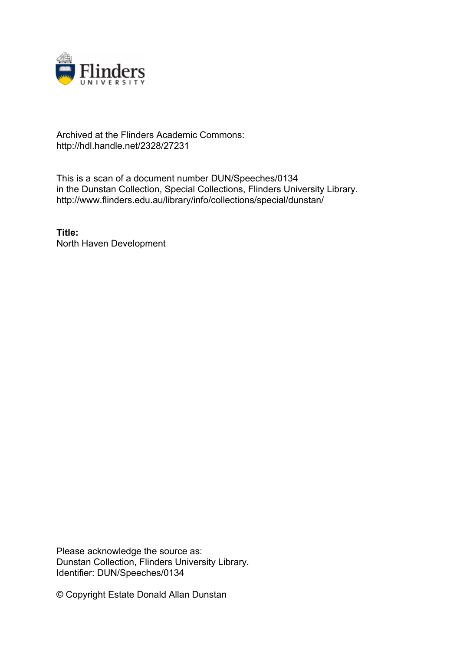

## Archived at the Flinders Academic Commons: http://hdl.handle.net/2328/27231

This is a scan of a document number DUN/Speeches/0134 in the Dunstan Collection, Special Collections, Flinders University Library. http://www.flinders.edu.au/library/info/collections/special/dunstan/

**Title:** North Haven Development

Please acknowledge the source as: Dunstan Collection, Flinders University Library. Identifier: DUN/Speeches/0134

© Copyright Estate Donald Allan Dunstan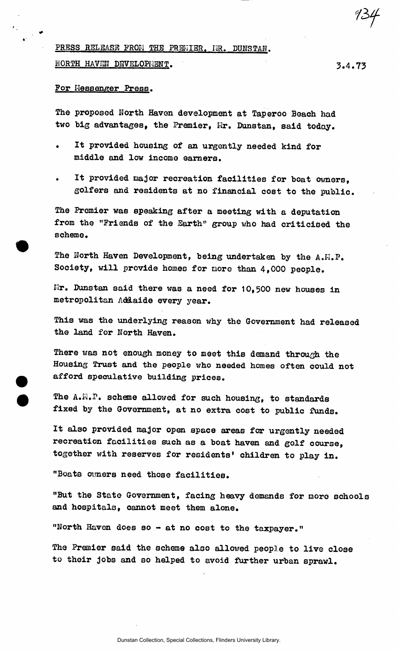PRESS RELEASE FROM THE PRENIER. IR. DUNSTAN.

N<u>orth Haven Development</u>.

For Messenger Press.

The proposed North Haven development at Taperoo Beach had two big advantages, the Premier, Mr. Dunstan, said today.

- It provided housing of an urgently needed kind for middle and low income earners.
- It provided major recreation facilities for boat owners, golfers and residents at no financial cost to the public.

The Premier was speaking after a meeting with a deputation from the "Friends of the Earth" group who had criticised the scheme.

The North Haven Development, being undertaken by the A.H.P. Sooiety, will provide homes for more than 4,000 people.

Hr. Dunstan said there was a need for 10,500 new houses in metropolitan Addaide every year.

This was the underlying reason why the Government had released the land for North Haven.

There was not enough money to meet this demand through the Housing Trust and the people who needed homes often could not afford speculative building prices.

The A.M.P. scheme allowed for such housing, to standards fixed by the Government, at no extra cost to public funds.

It also provided major open space areas for urgently needed recreation facilities such as a boat haven and golf course, together with reserves for residents' children to play in.

"Boats owners need those facilities.

"But the State Government, facing heavy demands for more schools and hospitals, cannot meet them alone.

"North Haven does so - at no cost to the taxpayer."

The Premier said the scheme also allowed people to live close to their jobs and so helped to avoid further urban sprawl.

*1if*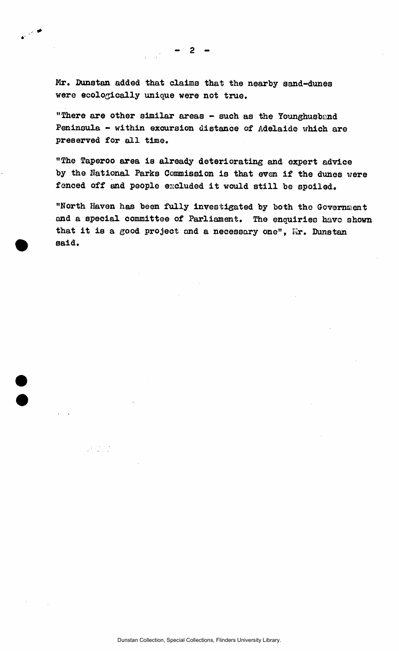Mr. Dunstan added that claims that the nearby sand-dunes were ecologically unique were not true.

"There are other similar areas - such as the Younghusband Peninsula - within excursion distance of Adelaide which are preserved for all time.

"The Taperoo area is already deteriorating and expert advice by the National Parks Commission is that even if the dunes were fenced off and people excluded it would still be spoiled.

"North Haven has been fully investigated by both the Government and a special committee of Parliament. The enquiries have shown that it is a good project and a necessary one", Fir. Dunstan said.

 $\mathcal{A}^{\text{max}}$ 

 $\mathbf{r} \in \mathbb{R}^n$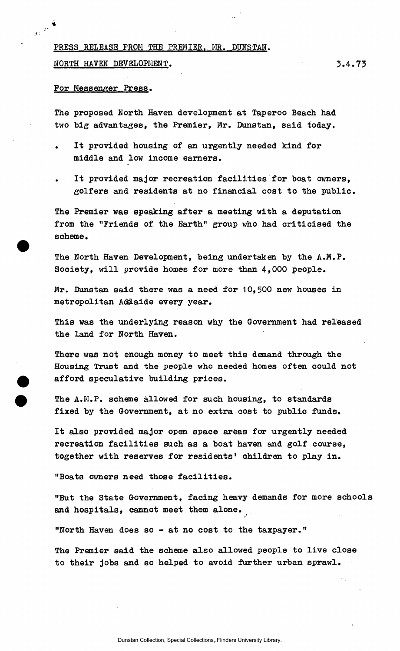PRESS RELEASE FROM THE PREMIER. MR. DUNSTAN.

NORTH HAVEN DEVELOPMENT. **3.4.73** 

For Messenger Press.

The proposed North Haven development at Taperoo Beach had two big advantages, the Premier, Mr. Dunstan, said today.

- It provided housing of an urgently needed kind for middle and low income earners.
- It provided major recreation facilities for boat owners, golfers and residents at no financial cost to the public.

The Premier was speaking after a meeting with a deputation from the "Friends of the Earth" group who had criticised the scheme.

The North Haven Development, being undertaken by the A.M.P. Society, will provide homes for more than 4,000 people.

Mr. Dunstan said there was a need for 10,500 new houses in metropolitan Addaide every year.

This was the underlying reason why the Government had released the land for North Haven.

There was not enough money to meet this demand through the Housing Trust and the people who needed homes often could not afford speculative building prices.

The A.M.P. scheme allowed for such housing, to standards fixed by the Government, at no extra cost to public funds.

It also provided major open space areas for urgently needed recreation facilities such as a boat haven and golf course, together with reserves for residents' children to play in.

"Boats owners need those facilities.

"But the State Government, facing heavy demands for more schools and hospitals, cannot meet them alone.

"North Haven does so - at no cost to the taxpayer."

The Premier said the scheme also allowed people to live close to their jobs and so helped to avoid further urban sprawl.